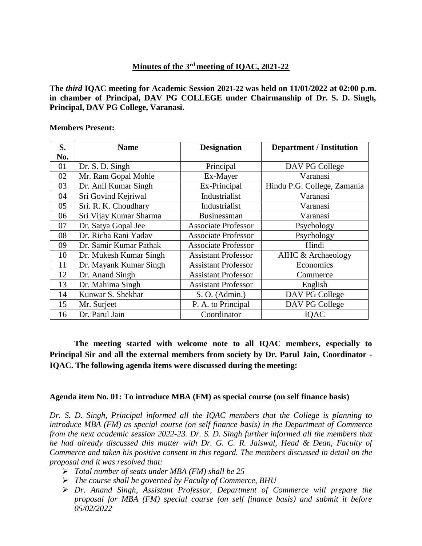# **Minutes of the 3rd meeting of IQAC, 2021-22**

**The** *third* **IQAC meeting for Academic Session 2021-22 was held on 11/01/2022 at 02:00 p.m. in chamber of Principal, DAV PG COLLEGE under Chairmanship of Dr. S. D. Singh, Principal, DAV PG College, Varanasi.**

#### **Members Present:**

| S.  | <b>Name</b>            | <b>Designation</b>         | <b>Department / Institution</b> |
|-----|------------------------|----------------------------|---------------------------------|
| No. |                        |                            |                                 |
| 01  | Dr. S. D. Singh        | Principal                  | DAV PG College                  |
| 02  | Mr. Ram Gopal Mohle    | Ex-Mayer                   | Varanasi                        |
| 03  | Dr. Anil Kumar Singh   | Ex-Principal               | Hindu P.G. College, Zamania     |
| 04  | Sri Govind Kejriwal    | Industrialist              | Varanasi                        |
| 05  | Sri. R. K. Choudhary   | Industrialist              | Varanasi                        |
| 06  | Sri Vijay Kumar Sharma | <b>Businessman</b>         | Varanasi                        |
| 07  | Dr. Satya Gopal Jee    | <b>Associate Professor</b> | Psychology                      |
| 08  | Dr. Richa Rani Yadav   | <b>Associate Professor</b> | Psychology                      |
| 09  | Dr. Samir Kumar Pathak | <b>Associate Professor</b> | Hindi                           |
| 10  | Dr. Mukesh Kumar Singh | <b>Assistant Professor</b> | AIHC & Archaeology              |
| 11  | Dr. Mayank Kumar Singh | <b>Assistant Professor</b> | Economics                       |
| 12  | Dr. Anand Singh        | <b>Assistant Professor</b> | Commerce                        |
| 13  | Dr. Mahima Singh       | <b>Assistant Professor</b> | English                         |
| 14  | Kunwar S. Shekhar      | S. O. (Admin.)             | DAV PG College                  |
| 15  | Mr. Surjeet            | P. A. to Principal         | DAV PG College                  |
| 16  | Dr. Parul Jain         | Coordinator                | <b>IOAC</b>                     |

**The meeting started with welcome note to all IQAC members, especially to Principal Sir and all the external members from society by Dr. Parul Jain, Coordinator - IQAC. The following agenda items were discussed during the meeting:**

#### **Agenda item No. 01: To introduce MBA (FM) as special course (on self finance basis)**

*Dr. S. D. Singh, Principal informed all the IQAC members that the College is planning to introduce MBA (FM) as special course (on self finance basis) in the Department of Commerce from the next academic session 2022-23. Dr. S. D. Singh further informed all the members that he had already discussed this matter with Dr. G. C. R. Jaiswal, Head & Dean, Faculty of Commerce and taken his positive consent in this regard. The members discussed in detail on the proposal and it was resolved that:*

- *Total number of seats under MBA (FM) shall be 25*
- *The course shall be governed by Faculty of Commerce, BHU*
- *Dr. Anand Singh, Assistant Professor, Department of Commerce will prepare the proposal for MBA (FM) special course (on self finance basis) and submit it before 05/02/2022*